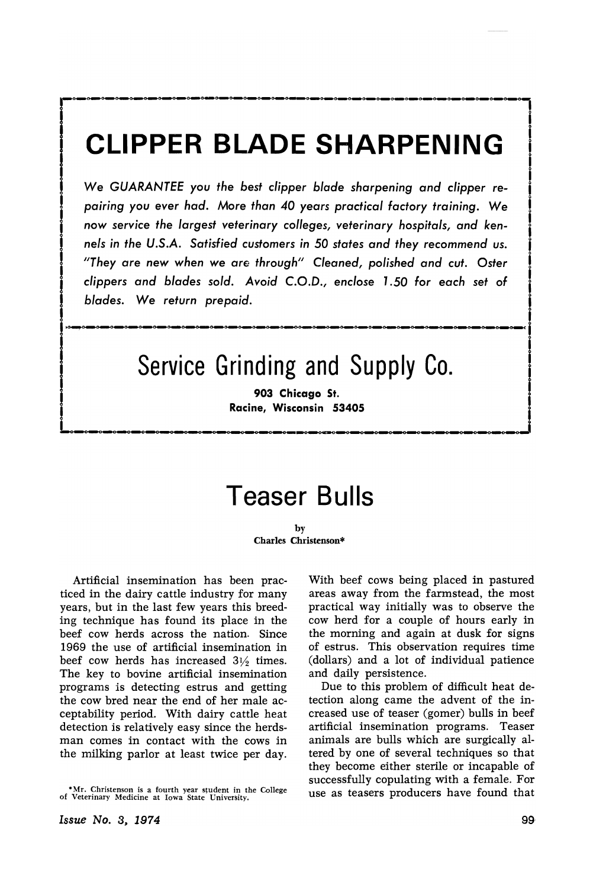# **CLIPPER BLADE SHARPENING**

We GUARANTEE you the best clipper blade sharpening and clipper repairing you ever had. More than 40 years practical factory training. We now service the largest veterinary colleges, veterinary hospitals, and kennels in the U.S.A. Satisfied customers in 50 states and they recommend us. "They are new when we are through" Cleaned, polished and cut. Oster clippers and blades sold. Avoid C.O.D., enclose 1.50 for each set of blades. We return prepaid.

## Service Grinding and Supply Co.

903 Chicago St. Racine, Wisconsin 53405

### Teaser Bulls

by Charles Christenson\*

Artificial insemination has been practiced in the dairy cattle industry for many years, but in the last few years this breeding technique has found its place in the beef cow herds across the nation. Since 1969 the use of artificial insemination in beef cow herds has increased  $3\frac{1}{2}$  times. The key to bovine artificial insemination programs is detecting estrus and getting the cow bred near the end of her male acceptability period. With dairy cattle heat detection is relatively easy since the herdsman comes in contact with the cows in the milking parlor at least twice per day.

Issue No.3, 1974

With beef cows being placed in pastured areas away from the farmstead, the most practical way initially was to observe the cow herd for a couple of hours early in the morning and again at dusk for signs of estrus. This observation requires time (dollars) and a lot of individual patience and daily persistence.

Due to this problem of difficult heat detection along came the advent of the increased use of teaser (gomer) bulls in beef artificial insemination programs. Teaser animals are bulls which are surgically altered by one of several techniques so that they become either sterile or incapable of successfully copulating with a female. For use as teasers producers have found that

<sup>•</sup> Mr. Christenson is a fourth year s~udent in the College of Veterinary Medicine at Iowa State University.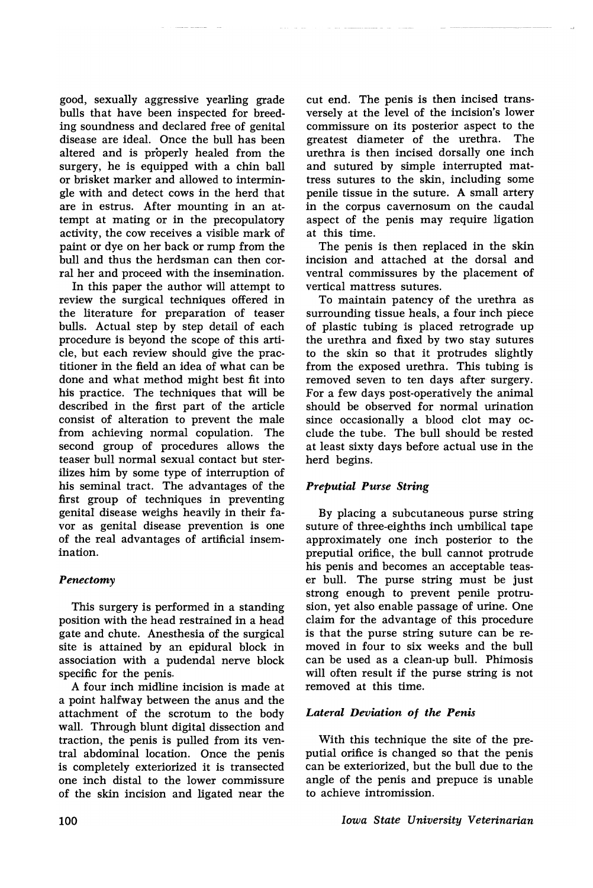good, sexually aggressive yearling grade bulls that have been inspected for breeding soundness and declared free of genital disease are ideal. Once the bull has been altered and is properly healed from the surgery, he is equipped with a chin ball or brisket marker and allowed to intermingle with and detect cows in the herd that are in estrus. After mounting in an attempt at mating or in the precopulatory activity, the cow receives a visible mark of paint or dye on her back or rump from the bull and thus the herdsman can then corral her and proceed with the insemination.

In this paper the author will attempt to review the surgical techniques offered in the literature for preparation of teaser bulls. Actual step by step detail of each procedure is beyond the scope of this article, but each review should give the practitioner in the field an idea of what can be done and what method might best fit into his practice. The techniques that will be described in the first part of the article consist of alteration to prevent the male from achieving normal copulation. The second group of procedures allows the teaser bull normal sexual contact but sterilizes him by some type of interruption of his seminal tract. The advantages of the first group of techniques in preventing genital disease weighs heavily in their favor as genital disease prevention is one of the real advantages of artificial insemination.

#### *Penectomy*

This surgery is performed in a standing position with the head restrained in a head gate and chute. Anesthesia of the surgical site is attained by an epidural block in association with a pudendal nerve block specific for the penis.

A four inch midline incision is made at a point halfway between the anus and the attachment of the scrotum to the body wall. Through blunt digital dissection and traction, the penis is pulled from its ven.. tral abdominal location. Once the penis is completely exteriorized it is transected one inch distal to the lower commissure of the skin incision and ligated near the

cut end. The penis is then incised transversely at the level of the incision's lower commissure on its posterior aspect to the greatest diameter of the urethra. The urethra is then incised dorsally one inch and sutured by simple interrupted mattress sutures to the skin, including some penile tissue in the suture. A small artery in the corpus cavernosum on the caudal aspect of the penis may require ligation at this time.

The penis is then replaced in the skin incision and attached at the dorsal and ventral commissures by the placement of vertical mattress sutures.

To maintain patency of the urethra as surrounding tissue heals, a four inch piece of plastic tubing is placed retrograde up the urethra and fixed by two stay sutures to the skin so that it protrudes slightly from the exposed urethra. This tubing is removed seven to ten days after surgery. For a few days post-operatively the animal should be observed for normal urination since occasionally a blood clot may occlude the tube. The bull should be rested at least sixty days before actual use in the herd begins.

### *Preputial Purse String*

By placing a subcutaneous purse string suture of three-eighths inch umbilical tape approximately one inch posterior to the preputial orifice, the bull cannot protrude his penis and becomes an acceptable teaser bull. The purse string must be just strong enough to prevent penile protrusion, yet also enable passage of urine. One claim for the advantage of this procedure is that the purse string suture can be removed in four to six weeks and the bull can be used as a clean-up bull. Phimosis will often result if the purse string is not removed at this time.

### *Lateral Deviation of the Penis*

With this technique the site of the preputial orifice is changed so that the penis can be exteriorized, but the bull due to the angle of the penis and prepuce is unable to achieve intromission.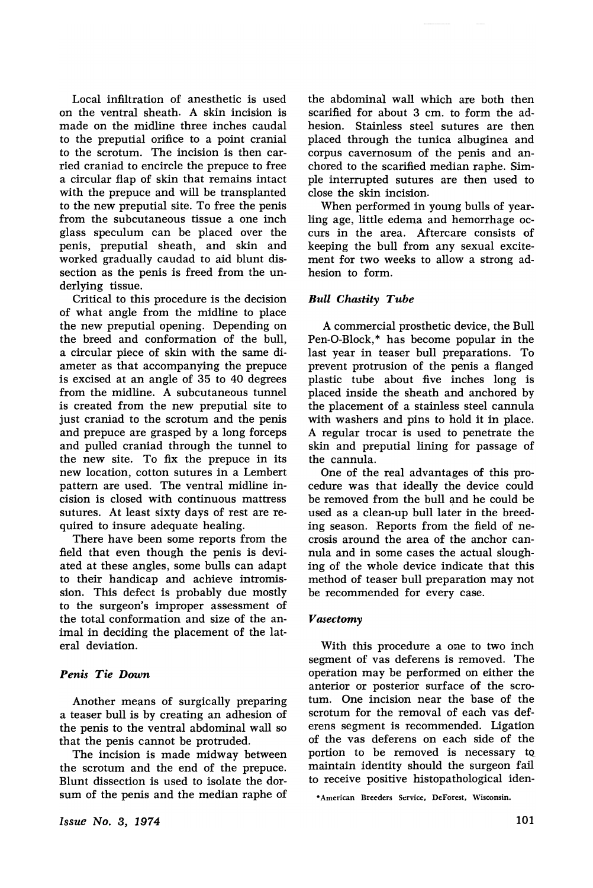Local infiltration of anesthetic is used on the ventral sheath. A skin incision is made on the midline three inches caudal to the preputial orifice to a point cranial to the scrotum. The incision is then carried craniad to encircle the prepuce to free a circular flap of skin that remains intact with the prepuce and will be transplanted to the new preputial site. To free the penis from the subcutaneous tissue a one inch glass speculum can be placed over the penis, preputial sheath, and skin and worked gradually caudad to aid blunt dissection as the penis is freed from the underlying tissue.

Critical to this procedure is the decision of what angle from the midline to place the new preputial opening. Depending on the breed and conformation of the bull, a circular piece of skin with the same diameter as that accompanying the prepuce is excised at an angle of 35 to 40 degrees from the midline. A subcutaneous tunnel is created from the new preputial site to just craniad to the scrotum and the penis and prepuce are grasped by a long forceps and pulled craniad through the tunnel to the new site. To fix the prepuce in its new location, cotton sutures in a Lembert pattern are used. The ventral midline incision is closed with continuous mattress sutures. At least sixty days of rest are required to insure adequate healing.

There have been some reports from the field that even though the penis is deviated at these angles, some bulls can adapt to their handicap and achieve intromission. This defect is probably due mostly to the surgeon's improper assessment of the total conformation and size of the animal in deciding the placement of the lateral deviation.

#### *Pen·is Tie Down*

Another means of surgically preparing a teaser bull is by creating an adhesion of the penis to the ventral abdominal wall so that the penis cannot be protruded.

The incision is made midway between the scrotum and the end of the prepuce. Blunt dissection is used to isolate the dorsum of the penis and the median raphe of

Issue No. 3, 1974

the abdominal wall which are both then scarified for about 3 em. to form the adhesion. Stainless steel sutures are then placed through the tunica albuginea and corpus cavernosum of the penis and anchored to the scarified median raphe. Simple interrupted sutures are then used to close the skin incision.

When performed in young bulls of yearling age, little edema and hemorrhage occurs in the area. Aftercare consists of keeping the bull from any sexual excitement for two weeks to allow a strong adhesion to form.

#### *Bull Chastity Tube*

A commercial prosthetic device, the Bull Pen-O-Block,\* has become popular in the last year in teaser bull preparations. To prevent protrusion of the penis a flanged plastic tube about five inches long is placed inside the sheath and anchored by the placement of a stainless steel cannula with washers and pins to hold it in place. A regular trocar is used to penetrate the skin and preputial lining for passage of the cannula.

One of the real advantages of this procedure was that ideally the device could be removed from the bull and he could be used as a clean-up bull later in the breeding season. Reports from the field of necrosis around the area of the anchor cannula and in some cases the actual sloughing of the whole device indicate that this method of teaser bull preparation may not be recommended for every case.

#### *Vasectomy*

With this procedure a one to two inch segment of vas deferens is removed. The operation may be performed on either the anterior or posterior surface of the scrotum. One incision near the base of the scrotum for the removal of each vas deferens segment is recommended. Ligation of the vas deferens on each side of the portion to be removed is necessary tQ. maintain identity should the surgeon fail to receive positive histopathological iden-

<sup>\*</sup>American Breeders Service, DeForest, Wisconsin.